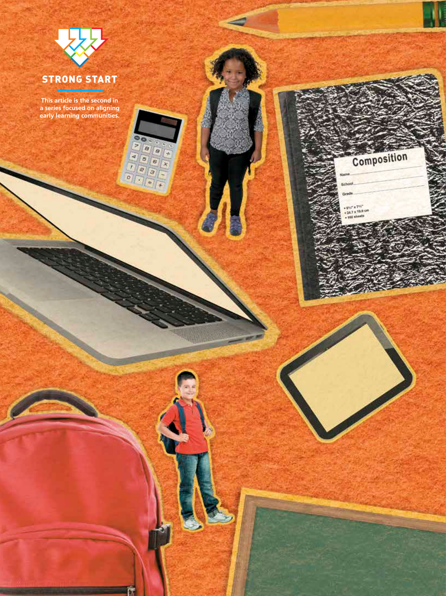

**This article is the second in a series focused on aligning early learning communities.**

**Pas** 

 $\overline{\circ}$ 

育

 $\frac{1}{3}$  |  $\frac{1}{3}$  |  $\frac{1}{3}$  |  $\frac{1}{3}$  $\sqrt{x}$ 

 $\overline{a}$  $\overline{4}$ 

**26** Principal n November/December 2014 www.naesp.org

 $\mathbf{1}$ 

Composition

school **Grade** 

+ 9%" x 7%"<br>+ 24.7 x 19.8 cm<br>+ 160 showts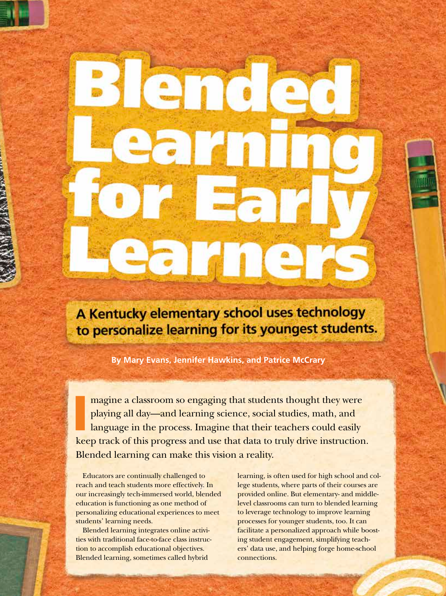A Kentucky elementary school uses technology to personalize learning for its youngest students.

**By Mary Evans, Jennifer Hawkins, and Patrice McCrary**

3 ende

I magine a classroom so engaging that students thought they were playing all day—and learning science, social studies, math, and language in the process. Imagine that their teachers could easily keep track of this progress and use that data to truly drive instruction. Blended learning can make this vision a reality.

Educators are continually challenged to reach and teach students more effectively. In our increasingly tech-immersed world, blended education is functioning as one method of personalizing educational experiences to meet students' learning needs.

Blended learning integrates online activities with traditional face-to-face class instruction to accomplish educational objectives. Blended learning, sometimes called hybrid

learning, is often used for high school and college students, where parts of their courses are provided online. But elementary- and middlelevel classrooms can turn to blended learning to leverage technology to improve learning processes for younger students, too. It can facilitate a personalized approach while boosting student engagement, simplifying teachers' data use, and helping forge home-school connections.

Principal n November/December 2014 **27**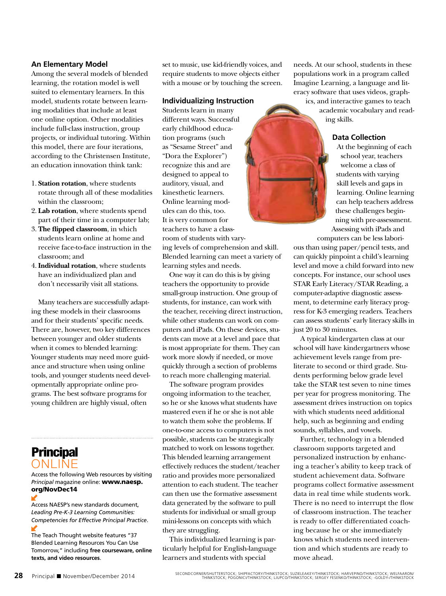## **An Elementary Model**

Among the several models of blended learning, the rotation model is well suited to elementary learners. In this model, students rotate between learning modalities that include at least one online option. Other modalities include full-class instruction, group projects, or individual tutoring. Within this model, there are four iterations, according to the Christensen Institute, an education innovation think tank:

- 1. **Station rotation**, where students rotate through all of these modalities within the classroom;
- 2. **Lab rotation**, where students spend part of their time in a computer lab;
- 3. **The flipped classroom**, in which students learn online at home and receive face-to-face instruction in the classroom; and
- 4.**Individual rotation**, where students have an individualized plan and don't necessarily visit all stations.

Many teachers are successfully adapting these models in their classrooms and for their students' specific needs. There are, however, two key differences between younger and older students when it comes to blended learning: Younger students may need more guidance and structure when using online tools, and younger students need developmentally appropriate online programs. The best software programs for young children are highly visual, often

# ONLINE **Principal**

#### Access the following Web resources by visiting *Principal* magazine online: www.naesp. org/NovDec14

Access NAESP's new standards document, *Leading Pre-K-3 Learning Communities: Competencies for Effective Principal Practice*.

The Teach Thought website features "37 Blended Learning Resources You Can Use Tomorrow," including **free courseware, online texts, and video resources**.

set to music, use kid-friendly voices, and require students to move objects either with a mouse or by touching the screen.

## **Individualizing Instruction**

Students learn in many different ways. Successful early childhood education programs (such as "Sesame Street" and "Dora the Explorer") recognize this and are designed to appeal to auditory, visual, and kinesthetic learners. Online learning modules can do this, too. It is very common for teachers to have a classroom of students with vary-

ing levels of comprehension and skill. Blended learning can meet a variety of learning styles and needs.

One way it can do this is by giving teachers the opportunity to provide small-group instruction. One group of students, for instance, can work with the teacher, receiving direct instruction, while other students can work on computers and iPads. On these devices, students can move at a level and pace that is most appropriate for them. They can work more slowly if needed, or move quickly through a section of problems to reach more challenging material.

The software program provides ongoing information to the teacher, so he or she knows what students have mastered even if he or she is not able to watch them solve the problems. If one-to-one access to computers is not possible, students can be strategically matched to work on lessons together. This blended learning arrangement effectively reduces the student/teacher ratio and provides more personalized attention to each student. The teacher can then use the formative assessment data generated by the software to pull students for individual or small group mini-lessons on concepts with which they are struggling.

This individualized learning is particularly helpful for English-language learners and students with special

needs. At our school, students in these populations work in a program called Imagine Learning, a language and literacy software that uses videos, graphics, and interactive games to teach

academic vocabulary and reading skills.

# **Data Collection**

At the beginning of each school year, teachers welcome a class of students with varying skill levels and gaps in learning. Online learning can help teachers address these challenges beginning with pre-assessment. Assessing with iPads and

computers can be less laborious than using paper/pencil tests, and can quickly pinpoint a child's learning level and move a child forward into new concepts. For instance, our school uses STAR Early Literacy/STAR Reading, a computer-adaptive diagnostic assessment, to determine early literacy progress for K-3 emerging readers. Teachers can assess students' early literacy skills in just 20 to 30 minutes.

A typical kindergarten class at our school will have kindergartners whose achievement levels range from preliterate to second or third grade. Students performing below grade level take the STAR test seven to nine times per year for progress monitoring. The assessment drives instruction on topics with which students need additional help, such as beginning and ending sounds, syllables, and vowels.

Further, technology in a blended classroom supports targeted and personalized instruction by enhancing a teacher's ability to keep track of student achievement data. Software programs collect formative assessment data in real time while students work. There is no need to interrupt the flow of classroom instruction. The teacher is ready to offer differentiated coaching because he or she immediately knows which students need intervention and which students are ready to move ahead.